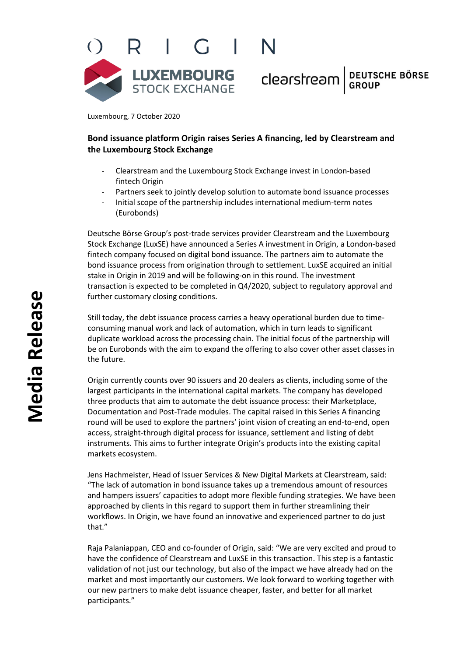

Clearstream BEUTSCHE BÖRSE

Luxembourg, 7 October 2020

# **Bond issuance platform Origin raises Series A financing, led by Clearstream and the Luxembourg Stock Exchange**

- Clearstream and the Luxembourg Stock Exchange invest in London-based fintech Origin
- Partners seek to jointly develop solution to automate bond issuance processes
- Initial scope of the partnership includes international medium-term notes (Eurobonds)

Deutsche Börse Group's post-trade services provider Clearstream and the Luxembourg Stock Exchange (LuxSE) have announced a Series A investment in Origin, a London-based fintech company focused on digital bond issuance. The partners aim to automate the bond issuance process from origination through to settlement. LuxSE acquired an initial stake in Origin in 2019 and will be following-on in this round. The investment transaction is expected to be completed in Q4/2020, subject to regulatory approval and further customary closing conditions.

Still today, the debt issuance process carries a heavy operational burden due to timeconsuming manual work and lack of automation, which in turn leads to significant duplicate workload across the processing chain. The initial focus of the partnership will be on Eurobonds with the aim to expand the offering to also cover other asset classes in the future.

Origin currently counts over 90 issuers and 20 dealers as clients, including some of the largest participants in the international capital markets. The company has developed three products that aim to automate the debt issuance process: their Marketplace, Documentation and Post-Trade modules. The capital raised in this Series A financing round will be used to explore the partners' joint vision of creating an end-to-end, open access, straight-through digital process for issuance, settlement and listing of debt instruments. This aims to further integrate Origin's products into the existing capital markets ecosystem.

Jens Hachmeister, Head of Issuer Services & New Digital Markets at Clearstream, said: "The lack of automation in bond issuance takes up a tremendous amount of resources and hampers issuers' capacities to adopt more flexible funding strategies. We have been approached by clients in this regard to support them in further streamlining their workflows. In Origin, we have found an innovative and experienced partner to do just that."

Raja Palaniappan, CEO and co-founder of Origin, said: "We are very excited and proud to have the confidence of Clearstream and LuxSE in this transaction. This step is a fantastic validation of not just our technology, but also of the impact we have already had on the market and most importantly our customers. We look forward to working together with our new partners to make debt issuance cheaper, faster, and better for all market participants."